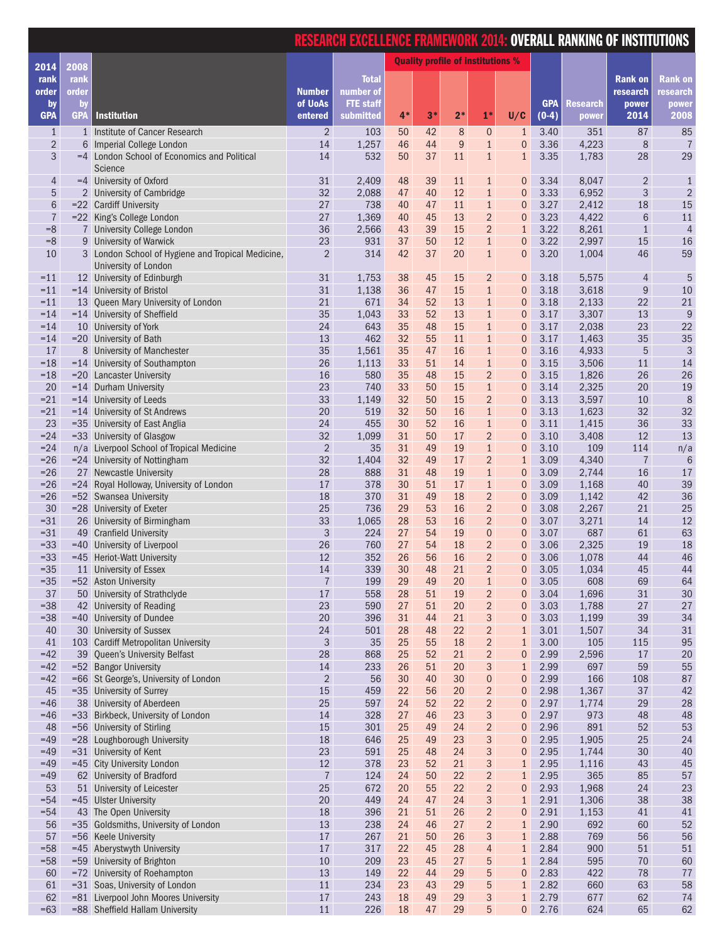|                                |                  |                                                                              |                           | <u>RESEARCH EXCELLENCE FRAMEWORK 2014: OVERALL RANKING OF INSTITUTIONS</u> |                                          |          |                       |                                             |                                 |                       |                 |                              |                      |
|--------------------------------|------------------|------------------------------------------------------------------------------|---------------------------|----------------------------------------------------------------------------|------------------------------------------|----------|-----------------------|---------------------------------------------|---------------------------------|-----------------------|-----------------|------------------------------|----------------------|
| 2014                           | 2008             |                                                                              |                           |                                                                            | <b>Quality profile of institutions %</b> |          |                       |                                             |                                 |                       |                 |                              |                      |
| rank                           | rank             |                                                                              |                           | <b>Total</b>                                                               |                                          |          |                       |                                             |                                 |                       |                 | <b>Rank on</b>               | <b>Rank on</b>       |
| order                          | order            |                                                                              | <b>Number</b>             | number of                                                                  |                                          |          |                       |                                             |                                 |                       |                 | research                     | research             |
| by<br><b>GPA</b>               | by<br><b>GPA</b> | <b>Institution</b>                                                           | of UoAs<br>entered        | <b>FTE</b> staff<br>submitted                                              | $4*$                                     | $3*$     | $2*$                  | $1*$                                        | U/C                             | <b>GPA</b><br>$(0-4)$ | <b>Research</b> | power<br>2014                | power<br>2008        |
|                                |                  |                                                                              |                           |                                                                            |                                          |          |                       |                                             |                                 |                       | power           |                              |                      |
| $\mathbf{1}$<br>$\overline{2}$ | 6                | 1 Institute of Cancer Research<br>Imperial College London                    | $\overline{2}$<br>14      | 103<br>1,257                                                               | 50<br>46                                 | 42<br>44 | 8<br>$\boldsymbol{9}$ | $\boldsymbol{0}$<br>$\mathbf{1}$            | $\mathbf{1}$<br>$\mathbf{0}$    | 3.40<br>3.36          | 351<br>4,223    | 87<br>$\,8\,$                | 85<br>$\overline{7}$ |
| 3                              |                  | =4 London School of Economics and Political                                  | 14                        | 532                                                                        | 50                                       | 37       | 11                    | $1\,$                                       | $\mathbf{1}$                    | 3.35                  | 1,783           | 28                           | 29                   |
|                                |                  | Science                                                                      |                           |                                                                            |                                          |          |                       |                                             |                                 |                       |                 |                              |                      |
| 4<br>5                         |                  | =4 University of Oxford<br>2 University of Cambridge                         | 31<br>32                  | 2,409<br>2,088                                                             | 48<br>47                                 | 39<br>40 | 11<br>12              | $\mathbf{1}$<br>$1\,$                       | $\boldsymbol{0}$<br>$\mathbf 0$ | 3.34<br>3.33          | 8,047<br>6,952  | $\overline{2}$<br>$\sqrt{3}$ | 1<br>$\overline{2}$  |
| $\,$ 6 $\,$                    |                  | =22 Cardiff University                                                       | 27                        | 738                                                                        | 40                                       | 47       | 11                    | $1\,$                                       | $\mathbf{0}$                    | 3.27                  | 2,412           | 18                           | 15                   |
| $\overline{7}$                 |                  | =22 King's College London                                                    | 27                        | 1,369                                                                      | 40                                       | 45       | 13                    | $\overline{2}$                              | $\mathbf{0}$                    | 3.23                  | 4,422           | $6\phantom{1}6$              | 11                   |
| $=8$                           |                  | 7 University College London                                                  | 36                        | 2,566                                                                      | 43                                       | 39       | 15                    | $\overline{2}$                              | $\mathbf{1}$                    | 3.22                  | 8,261           | $\mathbf{1}$                 | 4                    |
| $=8$<br>10                     |                  | 9 University of Warwick<br>3 London School of Hygiene and Tropical Medicine, | 23<br>$\overline{2}$      | 931<br>314                                                                 | 37<br>42                                 | 50<br>37 | 12<br>20              | $\mathbf{1}$<br>$\mathbf{1}$                | $\mathbf{0}$<br>$\overline{0}$  | 3.22<br>3.20          | 2,997<br>1,004  | 15<br>46                     | 16<br>59             |
|                                |                  | University of London                                                         |                           |                                                                            |                                          |          |                       |                                             |                                 |                       |                 |                              |                      |
| $=11$                          |                  | 12 University of Edinburgh                                                   | 31                        | 1,753                                                                      | 38                                       | 45       | 15                    | $\overline{2}$                              | $\boldsymbol{0}$                | 3.18                  | 5,575           | $\overline{4}$               | 5                    |
| $=11$                          |                  | $= 14$ University of Bristol                                                 | 31                        | 1,138                                                                      | 36                                       | 47       | 15                    | $1\,$                                       | $\mathbf{0}$                    | 3.18                  | 3,618           | $\boldsymbol{9}$             | $10\,$               |
| $=11$                          |                  | 13 Queen Mary University of London                                           | 21                        | 671                                                                        | 34                                       | 52       | 13                    | $\mathbf{1}$                                | $\mathbf{0}$                    | 3.18                  | 2,133           | 22                           | 21                   |
| $=14$<br>$=14$                 |                  | =14 University of Sheffield<br>10 University of York                         | 35<br>24                  | 1,043<br>643                                                               | 33<br>35                                 | 52<br>48 | 13<br>15              | $\mathbf{1}$<br>$1\,$                       | $\mathbf{0}$<br>$\mathbf 0$     | 3.17<br>3.17          | 3,307<br>2,038  | 13<br>23                     | $\overline{9}$<br>22 |
| $=14$                          |                  | =20 University of Bath                                                       | 13                        | 462                                                                        | 32                                       | 55       | 11                    | $1\,$                                       | $\mathbf{0}$                    | 3.17                  | 1,463           | 35                           | 35                   |
| 17                             |                  | 8 University of Manchester                                                   | 35                        | 1,561                                                                      | 35                                       | 47       | 16                    | $\mathbf 1$                                 | $\mathbf{0}$                    | 3.16                  | 4,933           | $\overline{5}$               | 3                    |
| $=18$                          |                  | $= 14$ University of Southampton                                             | 26                        | 1,113                                                                      | 33                                       | 51       | 14                    | $1\,$                                       | $\mathbf{0}$                    | 3.15                  | 3,506           | 11                           | 14                   |
| $=18$                          |                  | =20 Lancaster University                                                     | 16                        | 580                                                                        | 35                                       | 48       | 15                    | $\overline{2}$                              | $\mathbf{0}$                    | 3.15                  | 1,826           | 26                           | 26                   |
| 20<br>$= 21$                   |                  | $= 14$ Durham University<br>$= 14$ University of Leeds                       | 23<br>33                  | 740<br>1,149                                                               | 33<br>32                                 | 50<br>50 | 15<br>15              | $\mathbf{1}$<br>$\overline{2}$              | $\mathbf 0$<br>$\mathbf 0$      | 3.14<br>3.13          | 2,325<br>3,597  | 20<br>10                     | 19<br>8              |
| $= 21$                         |                  | =14 University of St Andrews                                                 | 20                        | 519                                                                        | 32                                       | 50       | 16                    | $1\,$                                       | $\mathbf 0$                     | 3.13                  | 1,623           | 32                           | 32                   |
| 23                             |                  | =35 University of East Anglia                                                | 24                        | 455                                                                        | 30                                       | 52       | 16                    | $\mathbf{1}$                                | $\mathbf{0}$                    | 3.11                  | 1,415           | 36                           | 33                   |
| $= 24$                         |                  | =33 University of Glasgow                                                    | 32                        | 1,099                                                                      | 31                                       | 50       | 17                    | $\overline{2}$                              | $\mathbf{0}$                    | 3.10                  | 3,408           | 12                           | 13                   |
| $= 24$                         |                  | n/a Liverpool School of Tropical Medicine                                    | $\sqrt{2}$                | 35                                                                         | 31                                       | 49       | 19                    | $\mathbf{1}$                                | $\mathbf{0}$                    | 3.10                  | 109             | 114                          | n/a                  |
| $= 26$<br>$=26$                |                  | $= 24$ University of Nottingham<br>27 Newcastle University                   | 32<br>28                  | 1,404<br>888                                                               | 32<br>31                                 | 49<br>48 | 17<br>19              | $\overline{2}$<br>$1\,$                     | $\mathbf{1}$<br>$\mathbf{0}$    | 3.09<br>3.09          | 4,340<br>2,744  | $\overline{1}$<br>16         | 6<br>17              |
| $= 26$                         |                  | =24 Royal Holloway, University of London                                     | 17                        | 378                                                                        | 30                                       | 51       | 17                    | $\mathbf 1$                                 | $\mathbf 0$                     | 3.09                  | 1,168           | 40                           | 39                   |
| $= 26$                         |                  | =52 Swansea University                                                       | 18                        | 370                                                                        | 31                                       | 49       | 18                    | $\overline{2}$                              | $\mathbf{0}$                    | 3.09                  | 1,142           | 42                           | 36                   |
| 30                             |                  | $= 28$ University of Exeter                                                  | 25                        | 736                                                                        | 29                                       | 53       | 16                    | $\overline{2}$                              | $\mathbf{0}$                    | 3.08                  | 2,267           | 21                           | 25                   |
| $= 31$<br>$= 31$               |                  | 26 University of Birmingham<br>49 Cranfield University                       | 33<br>$\sqrt{3}$          | 1,065<br>224                                                               | 28<br>27                                 | 53<br>54 | 16<br>19              | $\overline{2}$<br>$\boldsymbol{0}$          | $\overline{0}$<br>$\theta$      | 3.07<br>3.07          | 3,271<br>687    | 14<br>61                     | 12<br>63             |
| $=33$                          | $=40$            | University of Liverpool                                                      | 26                        | 760                                                                        | 27                                       | 54       | 18                    | $\sqrt{2}$                                  | $\mathbf 0$                     | 3.06                  | 2,325           | 19                           | 18                   |
| $=33$                          | $=45$            | <b>Heriot-Watt University</b>                                                | 12                        | 352                                                                        | 26                                       | 56       | 16                    | $\sqrt{2}$                                  | $\mathbf{0}$                    | 3.06                  | 1,078           | 44                           | 46                   |
| $=35$                          | 11               | University of Essex                                                          | 14                        | 339                                                                        | 30                                       | 48       | 21                    | $\overline{2}$                              | $\mathbf{0}$                    | 3.05                  | 1,034           | 45                           | 44                   |
| $=35$                          |                  | =52 Aston University                                                         | $\overline{7}$            | 199                                                                        | 29                                       | 49       | 20                    | $1\,$                                       | $\mathbf 0$                     | 3.05                  | 608             | 69                           | 64                   |
| 37<br>$=38$                    |                  | 50 University of Strathclyde<br>42 University of Reading                     | $17\,$<br>23              | 558<br>590                                                                 | 28<br>27                                 | 51<br>51 | 19<br>20              | $\sqrt{2}$<br>$\overline{2}$                | $\mathbf{0}$<br>$\mathbf{0}$    | 3.04<br>3.03          | 1,696<br>1,788  | 31<br>27                     | 30<br>27             |
| $=38$                          | $=40$            | University of Dundee                                                         | 20                        | 396                                                                        | 31                                       | 44       | 21                    | 3                                           | $\mathbf{0}$                    | 3.03                  | 1,199           | 39                           | 34                   |
| 40                             | 30               | <b>University of Sussex</b>                                                  | 24                        | 501                                                                        | 28                                       | 48       | 22                    | $\sqrt{2}$                                  | $\mathbf{1}$                    | 3.01                  | 1,507           | 34                           | 31                   |
| 41                             | 103              | <b>Cardiff Metropolitan University</b>                                       | $\ensuremath{\mathsf{3}}$ | 35                                                                         | 25                                       | 55       | 18                    | $\overline{2}$                              | $\mathbf{1}$                    | 3.00                  | 105             | 115                          | 95                   |
| $=42$<br>$=42$                 | 39<br>$-52$      | Queen's University Belfast<br><b>Bangor University</b>                       | 28<br>14                  | 868<br>233                                                                 | 25<br>26                                 | 52<br>51 | 21<br>20              | $\sqrt{2}$<br>$\ensuremath{\mathsf{3}}$     | $\mathbf{0}$<br>$\mathbf{1}$    | 2.99<br>2.99          | 2,596<br>697    | 17<br>59                     | 20<br>55             |
| $=42$                          |                  | =66 St George's, University of London                                        | $\sqrt{2}$                | 56                                                                         | 30                                       | 40       | 30                    | $\pmb{0}$                                   | $\mathbf{0}$                    | 2.99                  | 166             | 108                          | 87                   |
| 45                             |                  | =35 University of Surrey                                                     | 15                        | 459                                                                        | 22                                       | 56       | 20                    | $\sqrt{2}$                                  | $\mathbf{0}$                    | 2.98                  | 1,367           | 37                           | 42                   |
| $=46$                          |                  | 38 University of Aberdeen                                                    | 25                        | 597                                                                        | 24                                       | 52       | 22                    | $\sqrt{2}$                                  | $\overline{0}$                  | 2.97                  | 1,774           | 29                           | 28                   |
| $=46$                          |                  | =33 Birkbeck, University of London                                           | 14                        | 328                                                                        | 27                                       | 46       | 23                    | $\ensuremath{\mathsf{3}}$                   | $\mathbf{0}$                    | 2.97                  | 973             | 48                           | 48                   |
| 48<br>$=49$                    |                  | =56 University of Stirling<br>=28 Loughborough University                    | 15<br>18                  | 301<br>646                                                                 | 25<br>25                                 | 49<br>49 | 24<br>23              | $\sqrt{2}$<br>3                             | $\mathbf{0}$<br>$\mathbf 0$     | 2.96<br>2.95          | 891<br>1,905    | 52<br>25                     | 53<br>24             |
| $=49$                          |                  | =31 University of Kent                                                       | 23                        | 591                                                                        | 25                                       | 48       | 24                    | 3                                           | $\mathbf{0}$                    | 2.95                  | 1,744           | 30                           | 40                   |
| $=49$                          |                  | =45 City University London                                                   | 12                        | 378                                                                        | 23                                       | 52       | 21                    | $\ensuremath{\mathsf{3}}$                   | $\mathbf{1}$                    | 2.95                  | 1,116           | 43                           | 45                   |
| $=49$                          |                  | 62 University of Bradford                                                    | $\boldsymbol{7}$          | 124                                                                        | 24                                       | 50       | 22                    | $\sqrt{2}$                                  | $\mathbf{1}$                    | 2.95                  | 365             | 85                           | 57                   |
| 53                             | 51               | University of Leicester                                                      | 25                        | 672                                                                        | 20                                       | 55       | 22                    | $\overline{c}$                              | $\mathbf{0}$                    | 2.93                  | 1,968           | 24                           | 23                   |
| $= 54$<br>$= 54$               | $=45$            | <b>Ulster University</b><br>43 The Open University                           | 20<br>18                  | 449<br>396                                                                 | 24<br>21                                 | 47<br>51 | 24<br>26              | $\ensuremath{\mathsf{3}}$<br>$\overline{2}$ | $\mathbf{1}$<br>$\mathbf{0}$    | 2.91<br>2.91          | 1,306<br>1,153  | 38<br>41                     | 38<br>41             |
| 56                             | $=35$            | Goldsmiths, University of London                                             | 13                        | 238                                                                        | 24                                       | 46       | 27                    | $\overline{2}$                              | $\overline{1}$                  | 2.90                  | 692             | 60                           | 52                   |
| 57                             |                  | =56 Keele University                                                         | $17\,$                    | 267                                                                        | 21                                       | 50       | 26                    | $\ensuremath{\mathsf{3}}$                   | $\mathbf{1}$                    | 2.88                  | 769             | 56                           | 56                   |
| $= 58$                         |                  | =45 Aberystwyth University                                                   | $17$                      | 317                                                                        | 22                                       | 45       | 28                    | $\overline{4}$                              | $\mathbf{1}$                    | 2.84                  | 900             | 51                           | 51                   |
| $= 58$<br>60                   | $=72$            | =59 University of Brighton                                                   | 10<br>13                  | 209                                                                        | 23<br>22                                 | 45<br>44 | 27<br>29              | 5<br>$\sqrt{5}$                             | $\mathbf{1}$<br>$\mathbf{0}$    | 2.84<br>2.83          | 595<br>422      | 70<br>78                     | 60<br>77             |
| 61                             |                  | University of Roehampton<br>=31 Soas, University of London                   | $11$                      | 149<br>234                                                                 | 23                                       | 43       | 29                    | $\sqrt{5}$                                  | $\mathbf{1}$                    | 2.82                  | 660             | 63                           | 58                   |
| 62                             |                  | =81 Liverpool John Moores University                                         | $17$                      | 243                                                                        | 18                                       | 49       | 29                    | 3                                           | $\mathbf{1}$                    | 2.79                  | 677             | 62                           | 74                   |
| $=63$                          |                  | =88 Sheffield Hallam University                                              | 11                        | 226                                                                        | 18                                       | 47       | 29                    | 5                                           | $\overline{0}$                  | 2.76                  | 624             | 65                           | 62                   |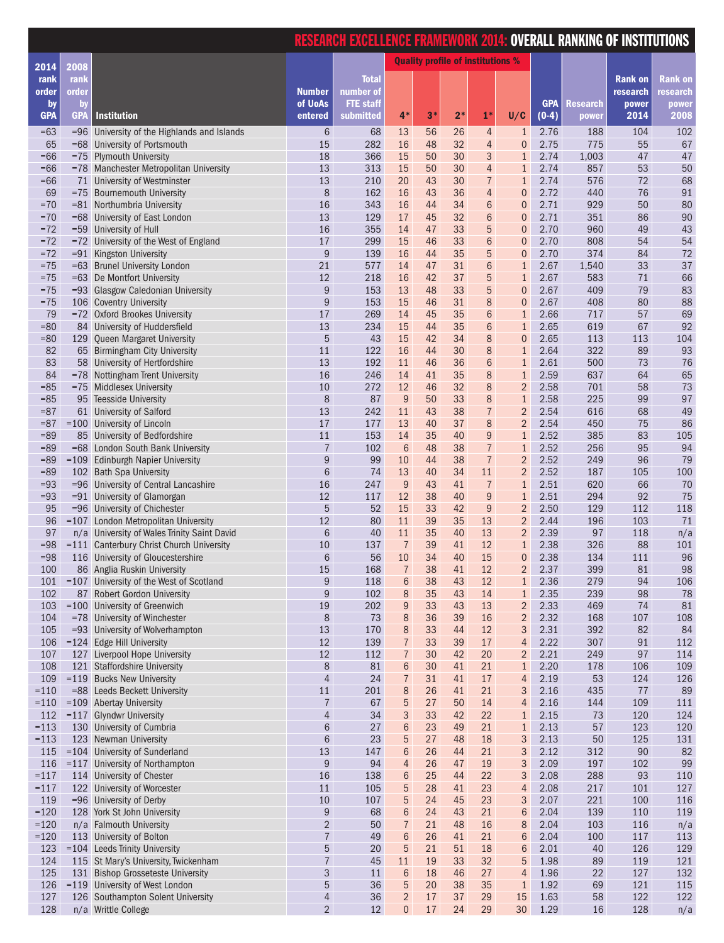|                  |                  |                                                                        |                                      | <u>RESEARCH EXCELLENCE FRAMEWORK 2014: OVERALL RANKING OF INSTITUTIONS</u> |                                          |          |          |                                  |                                  |                       |                          |                |               |
|------------------|------------------|------------------------------------------------------------------------|--------------------------------------|----------------------------------------------------------------------------|------------------------------------------|----------|----------|----------------------------------|----------------------------------|-----------------------|--------------------------|----------------|---------------|
| 2014             | 2008             |                                                                        |                                      |                                                                            | <b>Quality profile of institutions %</b> |          |          |                                  |                                  |                       |                          |                |               |
| rank             | rank             |                                                                        |                                      | <b>Total</b>                                                               |                                          |          |          |                                  |                                  |                       |                          | <b>Rank on</b> | Rank on       |
| order            | order            |                                                                        | <b>Number</b>                        | number of                                                                  |                                          |          |          |                                  |                                  |                       |                          | research       | research      |
| by<br><b>GPA</b> | <b>by</b><br>GPA | <b>Institution</b>                                                     | of UoAs<br>entered                   | <b>FTE</b> staff<br>submitted                                              | $4*$                                     | $3*$     | $2*$     | $1*$                             | U/C                              | <b>GPA</b><br>$(0-4)$ | <b>Research</b><br>power | power<br>2014  | power<br>2008 |
| $=63$            |                  | =96 University of the Highlands and Islands                            | 6                                    | 68                                                                         | 13                                       | 56       | 26       | $\overline{4}$                   | $\mathbf{1}$                     | 2.76                  | 188                      | 104            | 102           |
| 65               |                  | =68 University of Portsmouth                                           | 15                                   | 282                                                                        | 16                                       | 48       | 32       | 4                                | $\mathbf 0$                      | 2.75                  | 775                      | 55             | 67            |
| $=66$            |                  | =75 Plymouth University                                                | 18                                   | 366                                                                        | 15                                       | 50       | 30       | 3                                | $\mathbf{1}$                     | 2.74                  | 1,003                    | 47             | 47            |
| $=66$            |                  | =78 Manchester Metropolitan University                                 | 13<br>13                             | 313                                                                        | 15                                       | 50       | 30       | $\overline{4}$                   | $\mathbf{1}$                     | 2.74                  | 857                      | 53             | 50<br>68      |
| $=66$<br>69      |                  | 71 University of Westminster<br>=75 Bournemouth University             | 8                                    | 210<br>162                                                                 | 20<br>16                                 | 43<br>43 | 30<br>36 | $\overline{7}$<br>$\overline{4}$ | $\mathbf{1}$<br>$\boldsymbol{0}$ | 2.74<br>2.72          | 576<br>440               | 72<br>76       | 91            |
| $= 70$           |                  | =81 Northumbria University                                             | 16                                   | 343                                                                        | 16                                       | 44       | 34       | $6\phantom{a}$                   | $\overline{0}$                   | 2.71                  | 929                      | 50             | 80            |
| $= 70$           |                  | =68 University of East London                                          | 13                                   | 129                                                                        | 17                                       | 45       | 32       | 6                                | $\mathbf 0$                      | 2.71                  | 351                      | 86             | 90            |
| $= 72$           |                  | =59 University of Hull                                                 | 16                                   | 355                                                                        | 14                                       | 47       | 33       | 5                                | $\overline{0}$                   | 2.70                  | 960                      | 49             | 43            |
| $= 72$<br>$= 72$ |                  | =72 University of the West of England                                  | 17                                   | 299                                                                        | 15                                       | 46       | 33<br>35 | $6\phantom{1}6$<br>5             | $\overline{0}$                   | 2.70                  | 808                      | 54<br>84       | 54<br>72      |
| $= 75$           |                  | =91 Kingston University<br>=63 Brunel University London                | $\boldsymbol{9}$<br>21               | 139<br>577                                                                 | 16<br>14                                 | 44<br>47 | 31       | $\sqrt{6}$                       | $\mathbf 0$<br>$\mathbf{1}$      | 2.70<br>2.67          | 374<br>1,540             | 33             | 37            |
| $=75$            |                  | =63 De Montfort University                                             | 12                                   | 218                                                                        | 16                                       | 42       | 37       | 5                                | $\mathbf{1}$                     | 2.67                  | 583                      | 71             | 66            |
| $= 75$           |                  | =93 Glasgow Caledonian University                                      | $\boldsymbol{9}$                     | 153                                                                        | 13                                       | 48       | 33       | 5                                | $\boldsymbol{0}$                 | 2.67                  | 409                      | 79             | 83            |
| $=75$            |                  | 106 Coventry University                                                | $\boldsymbol{9}$                     | 153                                                                        | 15                                       | 46       | 31       | 8                                | $\overline{0}$                   | 2.67                  | 408                      | 80             | 88            |
| 79               |                  | =72 Oxford Brookes University                                          | 17                                   | 269                                                                        | 14                                       | 45       | 35       | 6                                | $\mathbf{1}$                     | 2.66                  | 717                      | 57             | 69            |
| $= 80$<br>$= 80$ |                  | 84 University of Huddersfield<br>129 Queen Margaret University         | 13<br>5                              | 234<br>43                                                                  | 15<br>15                                 | 44<br>42 | 35<br>34 | $6\phantom{a}$<br>8              | $\mathbf{1}$<br>$\mathbf 0$      | 2.65<br>2.65          | 619<br>113               | 67<br>113      | 92<br>104     |
| 82               |                  | 65 Birmingham City University                                          | 11                                   | 122                                                                        | 16                                       | 44       | 30       | 8                                | $\mathbf{1}$                     | 2.64                  | 322                      | 89             | 93            |
| 83               |                  | 58 University of Hertfordshire                                         | 13                                   | 192                                                                        | 11                                       | 46       | 36       | $6\phantom{a}$                   | 1                                | 2.61                  | 500                      | 73             | 76            |
| 84               |                  | =78 Nottingham Trent University                                        | 16                                   | 246                                                                        | 14                                       | 41       | 35       | 8                                | $\mathbf{1}$                     | 2.59                  | 637                      | 64             | 65            |
| $= 85$           |                  | =75 Middlesex University                                               | 10                                   | 272                                                                        | 12                                       | 46       | 32       | 8                                | $\overline{2}$                   | 2.58                  | 701                      | 58             | 73            |
| $= 85$           |                  | 95 Teesside University                                                 | 8                                    | 87                                                                         | $9\,$                                    | 50       | 33       | 8                                | $\mathbf{1}$                     | 2.58                  | 225                      | 99             | 97            |
| $= 87$<br>$= 87$ |                  | 61 University of Salford<br>=100 University of Lincoln                 | 13<br>17                             | 242<br>177                                                                 | 11<br>13                                 | 43<br>40 | 38<br>37 | $\overline{7}$<br>8              | $\overline{2}$<br>$\overline{2}$ | 2.54<br>2.54          | 616<br>450               | 68<br>75       | 49<br>86      |
| $= 89$           |                  | 85 University of Bedfordshire                                          | 11                                   | 153                                                                        | 14                                       | 35       | 40       | 9                                | $\mathbf{1}$                     | 2.52                  | 385                      | 83             | 105           |
| $=89$            |                  | =68 London South Bank University                                       | $\overline{7}$                       | 102                                                                        | $6\phantom{1}6$                          | 48       | 38       | $\overline{7}$                   | $\mathbf{1}$                     | 2.52                  | 256                      | 95             | 94            |
| $=89$            |                  | =109 Edinburgh Napier University                                       | 9                                    | 99                                                                         | 10                                       | 44       | 38       | $\overline{7}$                   | $\overline{2}$                   | 2.52                  | 249                      | 96             | 79            |
| $= 89$           |                  | 102 Bath Spa University                                                | 6                                    | 74                                                                         | 13                                       | 40       | 34       | 11                               | $\overline{2}$                   | 2.52                  | 187                      | 105            | 100           |
| $= 93$           |                  | =96 University of Central Lancashire                                   | 16                                   | 247                                                                        | $9\,$                                    | 43       | 41       | $\overline{7}$                   | $\mathbf{1}$                     | 2.51                  | 620                      | 66             | 70            |
| $= 93$<br>95     |                  | =91 University of Glamorgan<br>=96 University of Chichester            | 12<br>5                              | 117<br>52                                                                  | 12<br>15                                 | 38<br>33 | 40<br>42 | $\overline{9}$<br>9              | $\mathbf{1}$<br>$\overline{2}$   | 2.51<br>2.50          | 294<br>129               | 92<br>112      | 75<br>118     |
| 96               |                  | =107 London Metropolitan University                                    | 12                                   | 80                                                                         | 11                                       | 39       | 35       | 13                               | $\overline{2}$                   | 2.44                  | 196                      | 103            | 71            |
| 97               |                  | n/a University of Wales Trinity Saint David                            | $\,6$                                | 40                                                                         | 11                                       | 35       | 40       | 13                               | $\overline{2}$                   | 2.39                  | 97                       | 118            | n/a           |
| $=98$            |                  | =111 Canterbury Christ Church University                               | 10                                   | 137                                                                        | $\overline{7}$                           | 39       | 41       | 12                               | $\overline{1}$                   | 2.38                  | 326                      | 88             | 101           |
| $=98$            |                  | 116 University of Gloucestershire                                      | 6                                    | 56                                                                         | 10                                       | 34       | 40       | 15                               | $\boldsymbol{0}$                 | 2.38                  | 134                      | 111            | 96            |
| 100              |                  | 86 Anglia Ruskin University                                            | 15                                   | 168                                                                        | $\overline{7}$                           | 38       | 41       | 12                               | $\overline{2}$                   | 2.37                  | 399                      | 81             | 98            |
| 101<br>102       |                  | =107 University of the West of Scotland<br>87 Robert Gordon University | $\boldsymbol{9}$<br>$\boldsymbol{9}$ | 118<br>102                                                                 | $6\phantom{1}6$<br>8                     | 38<br>35 | 43<br>43 | 12<br>14                         | $\mathbf{1}$<br>$\mathbf{1}$     | 2.36<br>2.35          | 279<br>239               | 94<br>98       | 106<br>78     |
| 103              |                  | $= 100$ University of Greenwich                                        | $19\,$                               | 202                                                                        | $\boldsymbol{9}$                         | 33       | 43       | 13                               | $\overline{2}$                   | 2.33                  | 469                      | 74             | 81            |
| 104              |                  | =78 University of Winchester                                           | 8                                    | 73                                                                         | $\,8\,$                                  | 36       | 39       | 16                               | $\overline{2}$                   | 2.32                  | 168                      | 107            | 108           |
| 105              |                  | =93 University of Wolverhampton                                        | 13                                   | 170                                                                        | 8                                        | 33       | 44       | 12                               | 3                                | 2.31                  | 392                      | 82             | 84            |
| 106              | $=124$           | <b>Edge Hill University</b>                                            | 12                                   | 139                                                                        | $\overline{7}$                           | 33       | 39       | $17$                             | $\overline{a}$                   | 2.22                  | 307                      | 91             | 112           |
| 107<br>108       | 127              | Liverpool Hope University                                              | 12<br>$\,8\,$                        | 112                                                                        | $\overline{7}$                           | 30       | 42       | 20                               | $\overline{c}$                   | 2.21                  | 249                      | 97             | 114           |
| 109              |                  | 121 Staffordshire University<br>$= 119$ Bucks New University           | $\overline{4}$                       | 81<br>24                                                                   | $\,$ 6 $\,$<br>$\overline{7}$            | 30<br>31 | 41<br>41 | 21<br>17                         | $\mathbf{1}$<br>$\overline{4}$   | 2.20<br>2.19          | 178<br>53                | 106<br>124     | 109<br>126    |
| $=110$           |                  | =88 Leeds Beckett University                                           | $11\,$                               | 201                                                                        | 8                                        | 26       | 41       | 21                               | 3                                | 2.16                  | 435                      | 77             | 89            |
| $=110$           |                  | $= 109$ Abertay University                                             | $\overline{I}$                       | 67                                                                         | 5                                        | 27       | 50       | 14                               | 4                                | 2.16                  | 144                      | 109            | 111           |
| 112              |                  | $= 117$ Glyndwr University                                             | $\overline{4}$                       | 34                                                                         | 3                                        | 33       | 42       | 22                               | 1                                | 2.15                  | 73                       | 120            | 124           |
| $=113$           |                  | 130 University of Cumbria                                              | $\,6$                                | 27                                                                         | $6\phantom{1}6$                          | 23       | 49       | 21                               | $\mathbf{1}$                     | 2.13                  | 57                       | 123            | 120           |
| $=113$<br>115    |                  | 123 Newman University<br>$= 104$ University of Sunderland              | $6\phantom{.}$<br>13                 | 23<br>147                                                                  | 5                                        | 27<br>26 | 48<br>44 | 18<br>21                         | 3<br>3                           | 2.13<br>2.12          | 50<br>312                | 125<br>90      | 131<br>82     |
| 116              |                  | $= 117$ University of Northampton                                      | $\boldsymbol{9}$                     | 94                                                                         | $6\phantom{1}6$<br>$\overline{4}$        | 26       | 47       | 19                               | 3                                | 2.09                  | 197                      | 102            | 99            |
| $=117$           |                  | 114 University of Chester                                              | 16                                   | 138                                                                        | $6\phantom{1}6$                          | 25       | 44       | 22                               | 3                                | 2.08                  | 288                      | 93             | 110           |
| $=117$           |                  | 122 University of Worcester                                            | $11$                                 | 105                                                                        | $\overline{5}$                           | 28       | 41       | 23                               | 4                                | 2.08                  | 217                      | 101            | 127           |
| 119              |                  | =96 University of Derby                                                | $10\,$                               | 107                                                                        | 5                                        | 24       | 45       | 23                               | 3                                | 2.07                  | 221                      | 100            | 116           |
| $=120$           |                  | 128 York St John University                                            | $\boldsymbol{9}$                     | 68                                                                         | $\,$ 6 $\,$                              | 24       | 43       | 21                               | $6\phantom{a}$                   | 2.04                  | 139                      | 110            | 119           |
| $=120$<br>$=120$ |                  | n/a Falmouth University<br>113 University of Bolton                    | $\overline{2}$<br>$\overline{I}$     | 50<br>49                                                                   | $\overline{7}$<br>$6\phantom{1}6$        | 21<br>26 | 48<br>41 | 16<br>21                         | 8<br>$6\phantom{1}6$             | 2.04<br>2.04          | 103<br>100               | 116<br>117     | n/a<br>113    |
| 123              |                  | =104 Leeds Trinity University                                          | 5                                    | 20                                                                         | 5                                        | 21       | 51       | 18                               | 6                                | 2.01                  | 40                       | 126            | 129           |
| 124              |                  | 115 St Mary's University, Twickenham                                   | $\overline{7}$                       | 45                                                                         | 11                                       | 19       | 33       | 32                               | 5                                | 1.98                  | 89                       | 119            | 121           |
| 125              |                  | 131 Bishop Grosseteste University                                      | 3                                    | 11                                                                         | $6\phantom{1}6$                          | 18       | 46       | 27                               | 4                                | 1.96                  | 22                       | 127            | 132           |
| 126              |                  | =119 University of West London                                         | 5                                    | 36                                                                         | $\overline{5}$                           | 20       | 38       | 35                               | $\mathbf{1}$                     | 1.92                  | 69                       | 121            | 115           |
| 127              |                  | 126 Southampton Solent University                                      | $\overline{4}$                       | 36                                                                         | $\sqrt{2}$                               | 17       | 37       | 29                               | 15                               | 1.63                  | 58                       | 122            | 122           |
| 128              |                  | n/a Writtle College                                                    | $\overline{2}$                       | 12                                                                         | $\overline{0}$                           | 17       | 24       | 29                               | 30                               | 1.29                  | 16                       | 128            | n/a           |